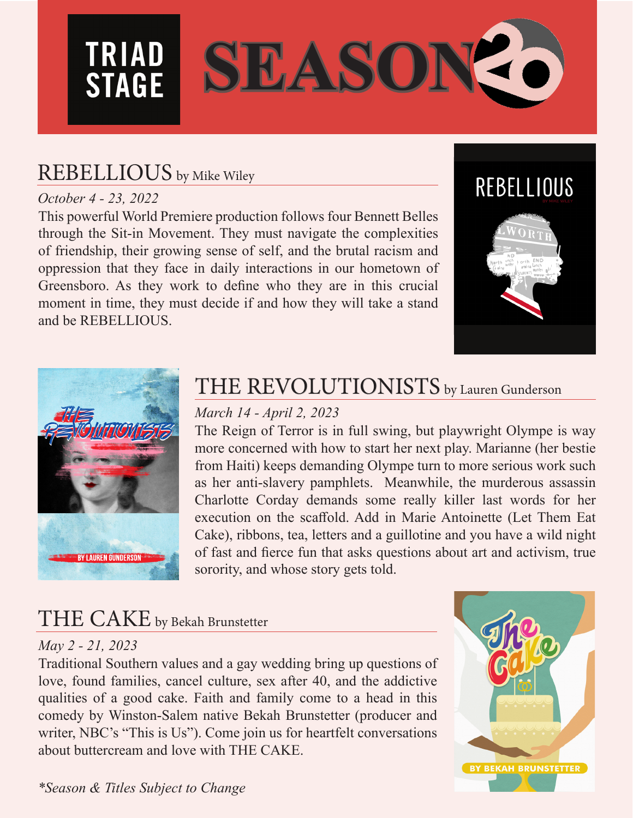

## REBELLIOUS by Mike Wiley

#### *October 4 - 23, 2022*

This powerful World Premiere production follows four Bennett Belles through the Sit-in Movement. They must navigate the complexities of friendship, their growing sense of self, and the brutal racism and oppression that they face in daily interactions in our hometown of Greensboro. As they work to define who they are in this crucial moment in time, they must decide if and how they will take a stand and be REBELLIOUS.





## THE REVOLUTIONISTS by Lauren Gunderson

#### *March 14 - April 2, 2023*

The Reign of Terror is in full swing, but playwright Olympe is way more concerned with how to start her next play. Marianne (her bestie from Haiti) keeps demanding Olympe turn to more serious work such as her anti-slavery pamphlets. Meanwhile, the murderous assassin Charlotte Corday demands some really killer last words for her execution on the scaffold. Add in Marie Antoinette (Let Them Eat Cake), ribbons, tea, letters and a guillotine and you have a wild night of fast and fierce fun that asks questions about art and activism, true sorority, and whose story gets told.

## THE CAKE by Bekah Brunstetter

#### *May 2 - 21, 2023*

Traditional Southern values and a gay wedding bring up questions of love, found families, cancel culture, sex after 40, and the addictive qualities of a good cake. Faith and family come to a head in this comedy by Winston-Salem native Bekah Brunstetter (producer and writer, NBC's "This is Us"). Come join us for heartfelt conversations about buttercream and love with THE CAKE.